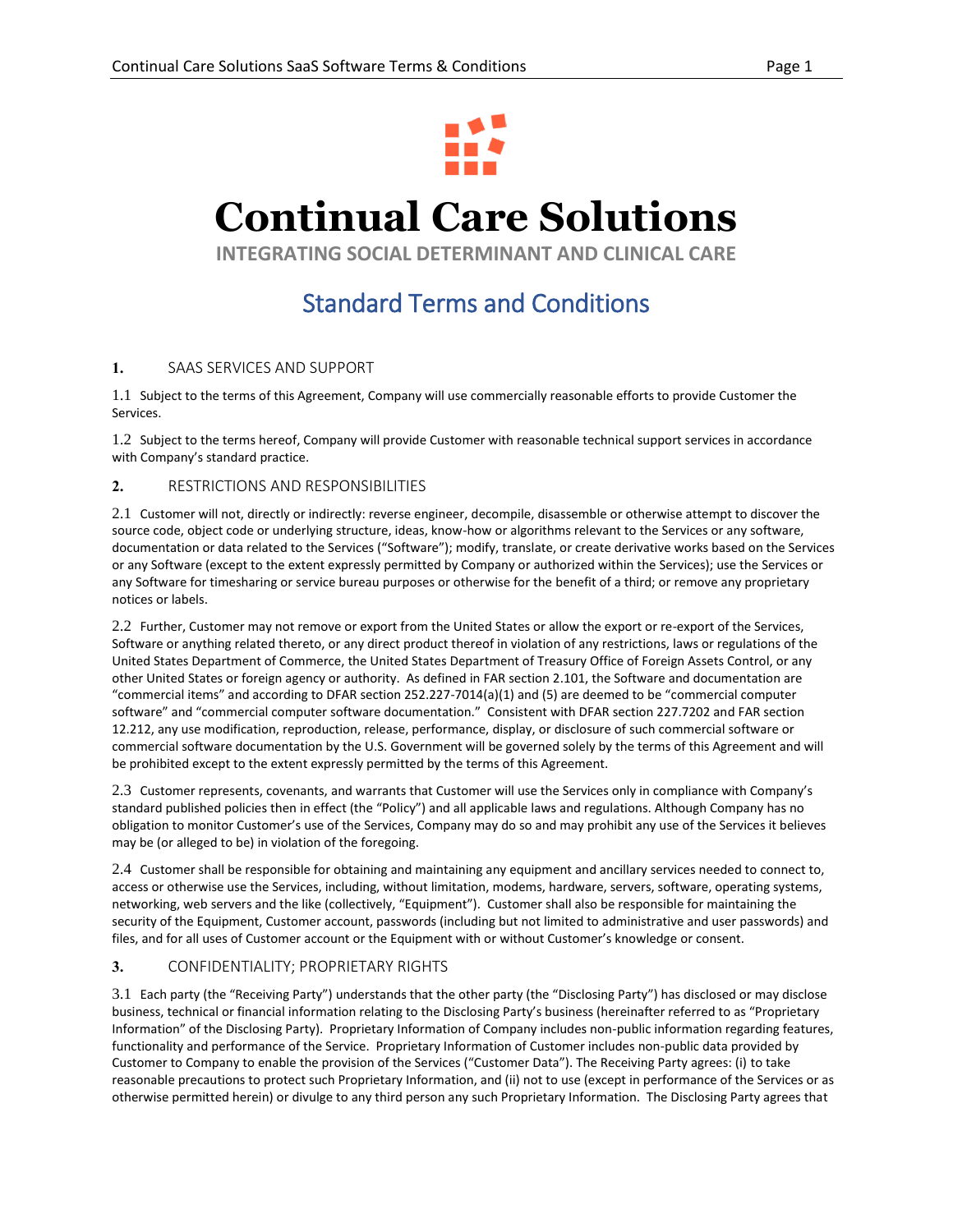

# **Continual Care Solutions**

**INTEGRATING SOCIAL DETERMINANT AND CLINICAL CARE**

# Standard Terms and Conditions

## **1.** SAAS SERVICES AND SUPPORT

1.1 Subject to the terms of this Agreement, Company will use commercially reasonable efforts to provide Customer the Services.

1.2 Subject to the terms hereof, Company will provide Customer with reasonable technical support services in accordance with Company's standard practice.

**2.** RESTRICTIONS AND RESPONSIBILITIES

2.1 Customer will not, directly or indirectly: reverse engineer, decompile, disassemble or otherwise attempt to discover the source code, object code or underlying structure, ideas, know-how or algorithms relevant to the Services or any software, documentation or data related to the Services ("Software"); modify, translate, or create derivative works based on the Services or any Software (except to the extent expressly permitted by Company or authorized within the Services); use the Services or any Software for timesharing or service bureau purposes or otherwise for the benefit of a third; or remove any proprietary notices or labels.

2.2 Further, Customer may not remove or export from the United States or allow the export or re-export of the Services, Software or anything related thereto, or any direct product thereof in violation of any restrictions, laws or regulations of the United States Department of Commerce, the United States Department of Treasury Office of Foreign Assets Control, or any other United States or foreign agency or authority. As defined in FAR section 2.101, the Software and documentation are "commercial items" and according to DFAR section 252.227-7014(a)(1) and (5) are deemed to be "commercial computer software" and "commercial computer software documentation." Consistent with DFAR section 227.7202 and FAR section 12.212, any use modification, reproduction, release, performance, display, or disclosure of such commercial software or commercial software documentation by the U.S. Government will be governed solely by the terms of this Agreement and will be prohibited except to the extent expressly permitted by the terms of this Agreement.

2.3 Customer represents, covenants, and warrants that Customer will use the Services only in compliance with Company's standard published policies then in effect (the "Policy") and all applicable laws and regulations. Although Company has no obligation to monitor Customer's use of the Services, Company may do so and may prohibit any use of the Services it believes may be (or alleged to be) in violation of the foregoing.

2.4 Customer shall be responsible for obtaining and maintaining any equipment and ancillary services needed to connect to, access or otherwise use the Services, including, without limitation, modems, hardware, servers, software, operating systems, networking, web servers and the like (collectively, "Equipment"). Customer shall also be responsible for maintaining the security of the Equipment, Customer account, passwords (including but not limited to administrative and user passwords) and files, and for all uses of Customer account or the Equipment with or without Customer's knowledge or consent.

## **3.** CONFIDENTIALITY; PROPRIETARY RIGHTS

3.1 Each party (the "Receiving Party") understands that the other party (the "Disclosing Party") has disclosed or may disclose business, technical or financial information relating to the Disclosing Party's business (hereinafter referred to as "Proprietary Information" of the Disclosing Party). Proprietary Information of Company includes non-public information regarding features, functionality and performance of the Service. Proprietary Information of Customer includes non-public data provided by Customer to Company to enable the provision of the Services ("Customer Data"). The Receiving Party agrees: (i) to take reasonable precautions to protect such Proprietary Information, and (ii) not to use (except in performance of the Services or as otherwise permitted herein) or divulge to any third person any such Proprietary Information. The Disclosing Party agrees that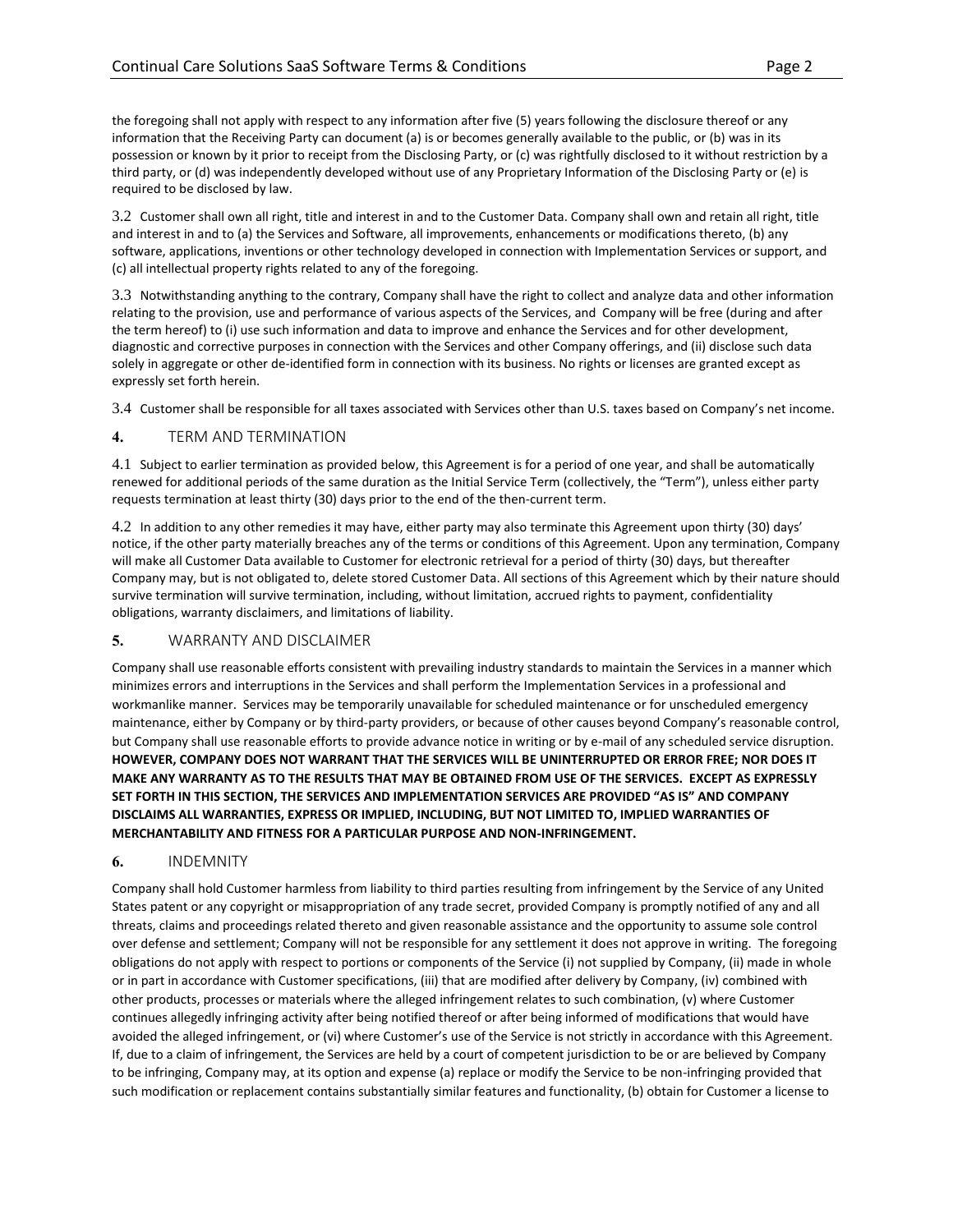the foregoing shall not apply with respect to any information after five (5) years following the disclosure thereof or any information that the Receiving Party can document (a) is or becomes generally available to the public, or (b) was in its possession or known by it prior to receipt from the Disclosing Party, or (c) was rightfully disclosed to it without restriction by a third party, or (d) was independently developed without use of any Proprietary Information of the Disclosing Party or (e) is required to be disclosed by law.

3.2 Customer shall own all right, title and interest in and to the Customer Data. Company shall own and retain all right, title and interest in and to (a) the Services and Software, all improvements, enhancements or modifications thereto, (b) any software, applications, inventions or other technology developed in connection with Implementation Services or support, and (c) all intellectual property rights related to any of the foregoing.

3.3 Notwithstanding anything to the contrary, Company shall have the right to collect and analyze data and other information relating to the provision, use and performance of various aspects of the Services, and Company will be free (during and after the term hereof) to (i) use such information and data to improve and enhance the Services and for other development, diagnostic and corrective purposes in connection with the Services and other Company offerings, and (ii) disclose such data solely in aggregate or other de-identified form in connection with its business. No rights or licenses are granted except as expressly set forth herein.

3.4 Customer shall be responsible for all taxes associated with Services other than U.S. taxes based on Company's net income.

## **4.** TERM AND TERMINATION

4.1 Subject to earlier termination as provided below, this Agreement is for a period of one year, and shall be automatically renewed for additional periods of the same duration as the Initial Service Term (collectively, the "Term"), unless either party requests termination at least thirty (30) days prior to the end of the then-current term.

4.2 In addition to any other remedies it may have, either party may also terminate this Agreement upon thirty (30) days' notice, if the other party materially breaches any of the terms or conditions of this Agreement. Upon any termination, Company will make all Customer Data available to Customer for electronic retrieval for a period of thirty (30) days, but thereafter Company may, but is not obligated to, delete stored Customer Data. All sections of this Agreement which by their nature should survive termination will survive termination, including, without limitation, accrued rights to payment, confidentiality obligations, warranty disclaimers, and limitations of liability.

## **5.** WARRANTY AND DISCLAIMER

Company shall use reasonable efforts consistent with prevailing industry standards to maintain the Services in a manner which minimizes errors and interruptions in the Services and shall perform the Implementation Services in a professional and workmanlike manner. Services may be temporarily unavailable for scheduled maintenance or for unscheduled emergency maintenance, either by Company or by third-party providers, or because of other causes beyond Company's reasonable control, but Company shall use reasonable efforts to provide advance notice in writing or by e-mail of any scheduled service disruption. **HOWEVER, COMPANY DOES NOT WARRANT THAT THE SERVICES WILL BE UNINTERRUPTED OR ERROR FREE; NOR DOES IT MAKE ANY WARRANTY AS TO THE RESULTS THAT MAY BE OBTAINED FROM USE OF THE SERVICES.****EXCEPT AS EXPRESSLY SET FORTH IN THIS SECTION, THE SERVICES AND IMPLEMENTATION SERVICES ARE PROVIDED "AS IS" AND COMPANY DISCLAIMS ALL WARRANTIES, EXPRESS OR IMPLIED, INCLUDING, BUT NOT LIMITED TO, IMPLIED WARRANTIES OF MERCHANTABILITY AND FITNESS FOR A PARTICULAR PURPOSE AND NON-INFRINGEMENT.**

## **6.** INDEMNITY

Company shall hold Customer harmless from liability to third parties resulting from infringement by the Service of any United States patent or any copyright or misappropriation of any trade secret, provided Company is promptly notified of any and all threats, claims and proceedings related thereto and given reasonable assistance and the opportunity to assume sole control over defense and settlement; Company will not be responsible for any settlement it does not approve in writing. The foregoing obligations do not apply with respect to portions or components of the Service (i) not supplied by Company, (ii) made in whole or in part in accordance with Customer specifications, (iii) that are modified after delivery by Company, (iv) combined with other products, processes or materials where the alleged infringement relates to such combination, (v) where Customer continues allegedly infringing activity after being notified thereof or after being informed of modifications that would have avoided the alleged infringement, or (vi) where Customer's use of the Service is not strictly in accordance with this Agreement. If, due to a claim of infringement, the Services are held by a court of competent jurisdiction to be or are believed by Company to be infringing, Company may, at its option and expense (a) replace or modify the Service to be non-infringing provided that such modification or replacement contains substantially similar features and functionality, (b) obtain for Customer a license to